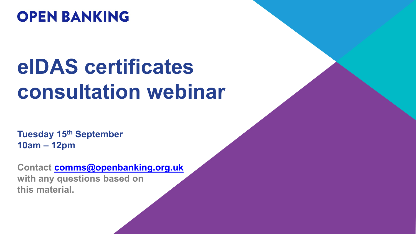## **OPEN BANKING**

# **eIDAS certificates consultation webinar**

**Tuesday 15th September 10am – 12pm**

**Contact [comms@openbanking.org.uk](mailto:comms@openbanking.org.uk) with any questions based on this material.**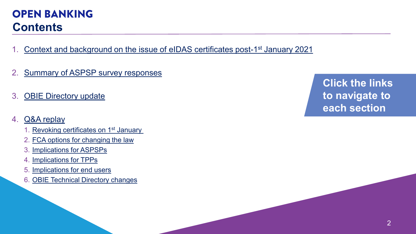#### 2

## **OPEN BANKING Contents**

- 1. [Context and background on the issue of eIDAS](#page-2-0) certificates post-1<sup>st</sup> January 2021
- 2. [Summary of ASPSP survey responses](#page-3-0)
- 3. [OBIE Directory update](#page-5-0)
- 4. [Q&A replay](#page-16-0)
	- 1. Revoking certificates on 1<sup>st</sup> January
	- 2. [FCA options for changing the law](#page-21-0)
	- 3. [Implications](#page-22-0) for ASPSPs
	- 4. [Implications for TPPs](#page-25-0)
	- 5. [Implications for end users](#page-27-0)
	- 6. [OBIE Technical Directory changes](#page-28-0)

**Click the links to navigate to each section**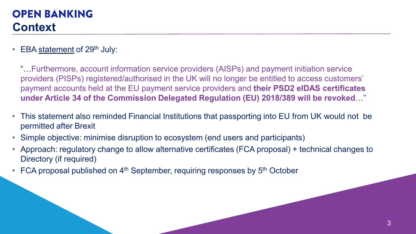## <span id="page-2-0"></span>**OPEN BANKING Context**

EBA [statement](https://eba.europa.eu/eba-calls-financial-institutions-finalise-preparations-end-transitional-arrangements-between-eu-and) of  $29<sup>th</sup>$  July:

"…Furthermore, account information service providers (AISPs) and payment initiation service providers (PISPs) registered/authorised in the UK will no longer be entitled to access customers' payment accounts held at the EU payment service providers and **their PSD2 eIDAS certificates under Article 34 of the Commission Delegated Regulation (EU) 2018/389 will be revoked**…"

- This statement also reminded Financial Institutions that passporting into EU from UK would not be permitted after Brexit
- Simple objective: minimise disruption to ecosystem (end users and participants)
- Approach: regulatory change to allow alternative certificates (FCA proposal) + technical changes to Directory (if required)
- FCA proposal published on  $4<sup>th</sup>$  September, requiring responses by  $5<sup>th</sup>$  October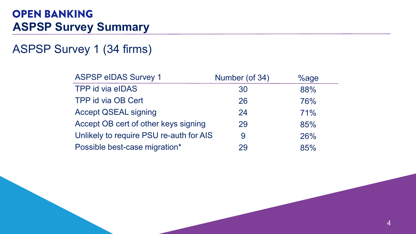## <span id="page-3-0"></span>**OPEN BANKING ASPSP Survey Summary**

## ASPSP Survey 1 (34 firms)

| <b>ASPSP eIDAS Survey 1</b>             | Number (of 34) | $%$ age |
|-----------------------------------------|----------------|---------|
| TPP id via eIDAS                        | 30             | 88%     |
| TPP id via OB Cert                      | 26             | 76%     |
| <b>Accept QSEAL signing</b>             | 24             | 71%     |
| Accept OB cert of other keys signing    | 29             | 85%     |
| Unlikely to require PSU re-auth for AIS | 9              | 26%     |
| Possible best-case migration*           | 29             | 85%     |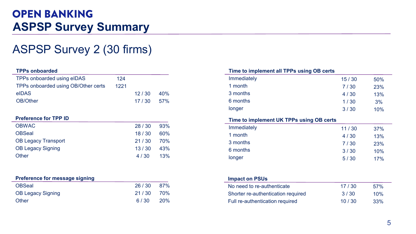## **OPEN BANKING ASPSP Survey Summary**

## ASPSP Survey 2 (30 firms)

#### **TPPs onboarded**

| TPPs onboarded using eIDAS          | 124  |       |      |
|-------------------------------------|------|-------|------|
| TPPs onboarded using OB/Other certs | 1221 |       |      |
| eIDAS                               |      | 12/30 | 40%  |
| OB/Other                            |      | 17/30 | .57% |

#### **Preference for TPP ID**

| <b>OBWAC</b>               | 28/30 | 93% |
|----------------------------|-------|-----|
| <b>OBSeal</b>              | 18/30 | 60% |
| <b>OB Legacy Transport</b> | 21/30 | 70% |
| <b>OB Legacy Signing</b>   | 13/30 | 43% |
| Other                      | 4/30  | 13% |

#### **Preference for message signing**

| <b>OBSeal</b>     | 26 / 30   | 87% |
|-------------------|-----------|-----|
| OB Legacy Signing | 21/30 70% |     |
| Other             | 6/30      | 20% |

|      |       |     | Time to implement all TPPs using OB certs |        |     |
|------|-------|-----|-------------------------------------------|--------|-----|
| 124  |       |     | Immediately                               | 15/30  | 50% |
| 1221 |       |     | 1 month                                   | 7/30   | 23% |
|      | 12/30 | 40% | 3 months                                  | 4/30   | 13% |
|      | 17/30 | 57% | 6 months                                  | $1/30$ | 3%  |
|      |       |     | longer                                    | 3/30   | 10% |
|      |       |     | Time to implement UK TPPs using OB certs  |        |     |
|      | 28/30 | 93% | Immediately                               | 11/30  | 37% |
|      | 18/30 | 60% | 1 month                                   | 4/30   | 13% |
|      | 21/30 | 70% | 3 months                                  | 7/30   | 23% |
|      | 13/30 | 43% | 6 months                                  | 3/30   | 10% |
|      | 4/30  | 13% | longer                                    | 5/30   | 17% |
|      |       |     |                                           |        |     |
|      |       |     | <b>Impact on PSUs</b>                     |        |     |
|      | 26/30 | 87% | No need to re-authenticate                | 17/30  | 57% |
|      | 21/30 | 70% | Shorter re-authentication required        | 3/30   | 10% |
|      | 6/30  | 20% | Full re-authentication required           | 10/30  | 33% |
|      |       |     |                                           |        |     |
|      |       |     |                                           |        | 5   |

| .                                  |       |     |
|------------------------------------|-------|-----|
| No need to re-authenticate         | 17/30 | 57% |
| Shorter re-authentication required | 3/30  | 10% |
| Full re-authentication required    | 10/30 | 33% |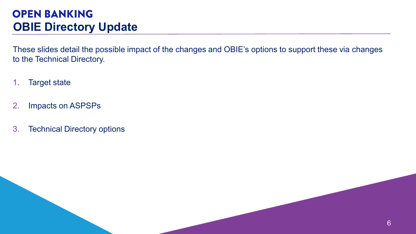<span id="page-5-0"></span>These slides detail the possible impact of the changes and OBIE's options to support these via changes to the Technical Directory.

- 1. Target state
- 2. Impacts on ASPSPs
- 3. Technical Directory options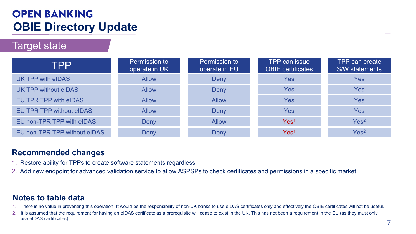Target state

| TPP                             | Permission to<br>operate in UK | Permission to<br>operate in EU | <b>TPP can issue</b><br><b>OBIE</b> certificates | TPP can create<br>S/W statements |
|---------------------------------|--------------------------------|--------------------------------|--------------------------------------------------|----------------------------------|
| UK TPP with eIDAS               | <b>Allow</b>                   | Deny                           | Yes                                              | Yes                              |
| UK TPP without eIDAS            | <b>Allow</b>                   | Deny                           | Yes                                              | Yes                              |
| EU TPR TPP with eIDAS           | <b>Allow</b>                   | <b>Allow</b>                   | Yes                                              | Yes                              |
| <b>EU TPR TPP without eIDAS</b> | <b>Allow</b>                   | Deny                           | Yes                                              | Yes                              |
| EU non-TPR TPP with eIDAS       | Deny                           | <b>Allow</b>                   | Yes <sup>1</sup>                                 | Yes <sup>2</sup>                 |
| EU non-TPR TPP without eIDAS    | Deny                           | Deny                           | Yes <sup>1</sup>                                 | Yes <sup>2</sup>                 |

### **Recommended changes**

- 1. Restore ability for TPPs to create software statements regardless
- 2. Add new endpoint for advanced validation service to allow ASPSPs to check certificates and permissions in a specific market

### **Notes to table data**

- 1. There is no value in preventing this operation. It would be the responsibility of non-UK banks to use eIDAS certificates only and effectively the OBIE certificates will not be useful.
- 2. It is assumed that the requirement for having an eIDAS certificate as a prerequisite will cease to exist in the UK. This has not been a requirement in the EU (as they must only use eIDAS certificates)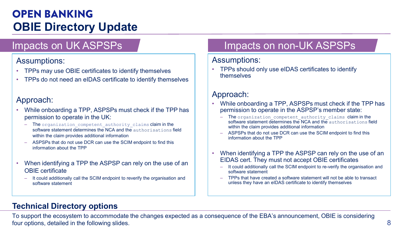### Assumptions:

- TPPs may use OBIE certificates to identify themselves
- TPPs do not need an eIDAS certificate to identify themselves

### Approach:

- While onboarding a TPP, ASPSPs must check if the TPP has permission to operate in the UK:
	- The organization competent authority claims claim in the software statement determines the NCA and the authorisations field within the claim provides additional information
	- ASPSPs that do not use DCR can use the SCIM endpoint to find this information about the TPP
- When identifying a TPP the ASPSP can rely on the use of an OBIE certificate
	- It could additionally call the SCIM endpoint to reverify the organisation and software statement

### Impacts on non-UK ASPSPs

#### Assumptions:

• TPPs should only use eIDAS certificates to identify themselves

### Approach:

- While onboarding a TPP, ASPSPs must check if the TPP has permission to operate in the ASPSP's member state:
	- The organization competent authority claims claim in the software statement determines the NCA and the authorisations field within the claim provides additional information
	- ASPSPs that do not use DCR can use the SCIM endpoint to find this information about the TPP
- When identifying a TPP the ASPSP can rely on the use of an EIDAS cert. They must not accept OBIE certificates
	- It could additionally call the SCIM endpoint to re-verify the organisation and software statement
	- TPPs that have created a software statement will not be able to transact unless they have an eIDAS certificate to identify themselves

### **Technical Directory options**

Example on the cost in the Collective of the CHA state of the CHA state of the CHA state of the CHA state of the CHA state of the CHA state of the CHA state of the CHA state of the CHA state of the CHA state of the CHA To support the ecosystem to accommodate the changes expected as a consequence of the EBA's announcement, OBIE is considering four options, detailed in the following slides.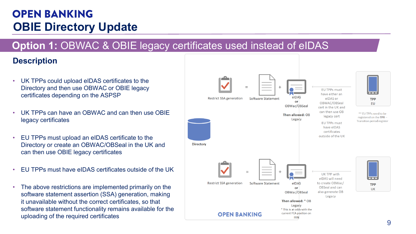### **Option 1:** OBWAC & OBIE legacy certificates used instead of eIDAS

### **Description**

- UK TPPs could upload eIDAS certificates to the Directory and then use OBWAC or OBIE legacy certificates depending on the ASPSP
- UK TPPs can have an OBWAC and can then use OBIE legacy certificates
- EU TPPs must upload an eIDAS certificate to the Directory or create an OBWAC/OBSeal in the UK and can then use OBIE legacy certificates
- EU TPPs must have eIDAS certificates outside of the UK
- The above restrictions are implemented primarily on the software statement assertion (SSA) generation, making it unavailable without the correct certificates, so that software statement functionality remains available for the uploading of the required certificates

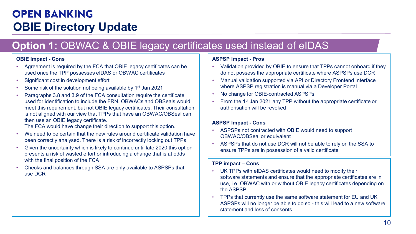### **Option 1:** OBWAC & OBIE legacy certificates used instead of eIDAS

- Agreement is required by the FCA that OBIE legacy certificates can be used once the TPP possesses eIDAS or OBWAC certificates
- Significant cost in development effort
- Some risk of the solution not being available by 1<sup>st</sup> Jan 2021
- Collement Cons<br>
Magnet Conservation of the CA that OBIE legacy certificates and<br>
the new section of the CA the section of the CA the CA that OBIE is exact to the CA conservation of the SAS of DBVAC certificates<br>
 Sig • Paragraphs 3.8 and 3.9 of the FCA consultation require the certificate used for identification to include the FRN. OBWACs and OBSeals would meet this requirement, but not OBIE legacy certificates. Their consultation is not aligned with our view that TPPs that have an OBWAC/OBSeal can then use an OBIE legacy certificate.

The FCA would have change their direction to support this option.

- We need to be certain that the new rules around certificate validation have been correctly analysed. There is a risk of incorrectly locking out TPPs.
- Given the uncertainty which is likely to continue until late 2020 this option presents a risk of wasted effort or introducing a change that is at odds with the final position of the FCA
- Checks and balances through SSA are only available to ASPSPs that use DCR

#### **ASPSP Impact - Pros**

- Validation provided by OBIE to ensure that TPPs cannot onboard if they do not possess the appropriate certificate where ASPSPs use DCR
- Manual validation supported via API or Directory Frontend Interface where ASPSP registration is manual via a Developer Portal
- No change for OBIE-contracted ASPSPs
- From the 1<sup>st</sup> Jan 2021 any TPP without the appropriate certificate or authorisation will be revoked

#### **ASPSP Impact - Cons**

- ASPSPs not contracted with OBIE would need to support OBWAC/OBSeal or equivalent
- ASPSPs that do not use DCR will not be able to rely on the SSA to ensure TPPs are in possession of a valid certificate

#### **TPP impact – Cons**

- UK TPPs with eIDAS certificates would need to modify their software statements and ensure that the appropriate certificates are in use, i.e. OBWAC with or without OBIE legacy certificates depending on the ASPSP
- TPPs that currently use the same software statement for EU and UK ASPSPs will no longer be able to do so - this will lead to a new software statement and loss of consents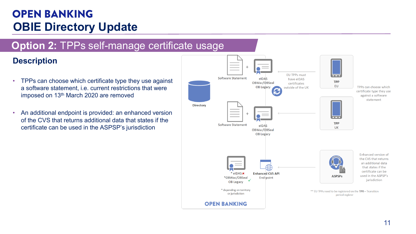### **Option 2:** TPPs self-manage certificate usage

### **Description**

- TPPs can choose which certificate type they use against a software statement, i.e. current restrictions that were imposed on 13<sup>th</sup> March 2020 are removed
- An additional endpoint is provided: an enhanced version of the CVS that returns additional data that states if the certificate can be used in the ASPSP's jurisdiction

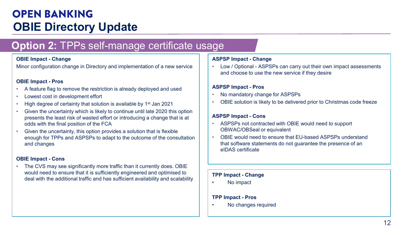### **Option 2:** TPPs self-manage certificate usage

Minor configuration change in Directory and implementation of a new service

#### **OBIE Impact - Pros**

- A feature flag to remove the restriction is already deployed and used
- Lowest cost in development effort
- High degree of certainty that solution is available by 1<sup>st</sup> Jan 2021
- Given the uncertainty which is likely to continue until late 2020 this option presents the least risk of wasted effort or introducing a change that is at odds with the final position of the FCA
- CHAI **Change**<br>
CHAI **Change in Directory and implementation of a new service<br>
CHAI Impact <b>Pros**<br>
CHAT IMMORE IMPACT AND CONTINUE IMPACT A SERVICT **CHANGE IMPACT AND CONTINUE IMPACT ASSES**<br>
The convertisor of the deve • Given the uncertainty, this option provides a solution that is flexible enough for TPPs and ASPSPs to adapt to the outcome of the consultation and changes

#### **OBIE Impact - Cons**

• The CVS may see significantly more traffic than it currently does. OBIE would need to ensure that it is sufficiently engineered and optimised to deal with the additional traffic and has sufficient availability and scalability

#### **ASPSP Impact - Change**

• Low / Optional - ASPSPs can carry out their own impact assessments and choose to use the new service if they desire

#### **ASPSP Impact - Pros**

- No mandatory change for ASPSPs
- OBIE solution is likely to be delivered prior to Christmas code freeze

#### **ASPSP Impact - Cons**

- ASPSPs not contracted with OBIE would need to support OBWAC/OBSeal or equivalent
- OBIE would need to ensure that EU-based ASPSPs understand that software statements do not guarantee the presence of an eIDAS certificate

#### **TPP Impact - Change**

• No impact

#### **TPP Impact - Pros**

• No changes required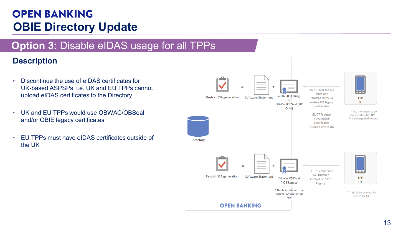### **Option 3:** Disable eIDAS usage for all TPPs

### **Description**

- Discontinue the use of eIDAS certificates for UK-based ASPSPs, i.e. UK and EU TPPs cannot upload eIDAS certificates to the Directory
- UK and EU TPPs would use OBWAC/OBSeal and/or OBIE legacy certificates
- EU TPPs must have eIDAS certificates outside of the UK

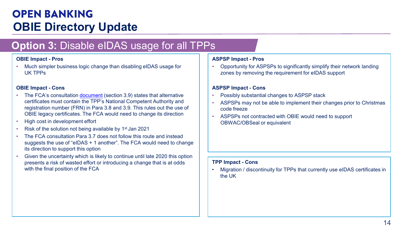### **Option 3:** Disable eIDAS usage for all TPPs

• Much simpler business logic change than disabling eIDAS usage for UK TPPs

#### **OBIE Impact - Cons**

- **OBIE legacy -entiries and Society and Society and Society and Society and Society and Society and Society and Society and Society and Society and Society and Society and Society and Society and Society and Society and S** • The FCA's consultation [document](https://www.fca.org.uk/publication/consultation/cp2018-quarterly-consultation-paper-no-29.pdf) (section 3.9) states that alternative certificates must contain the TPP's National Competent Authority and registration number (FRN) in Para 3.8 and 3.9. This rules out the use of OBIE legacy certificates. The FCA would need to change its direction
- High cost in development effort
- Risk of the solution not being available by 1st Jan 2021
- The FCA consultation Para 3.7 does not follow this route and instead suggests the use of "eIDAS + 1 another". The FCA would need to change its direction to support this option
- Given the uncertainty which is likely to continue until late 2020 this option presents a risk of wasted effort or introducing a change that is at odds with the final position of the FCA

#### **ASPSP Impact - Pros**

• Opportunity for ASPSPs to significantly simplify their network landing zones by removing the requirement for eIDAS support

#### **ASPSP Impact - Cons**

- Possibly substantial changes to ASPSP stack
- ASPSPs may not be able to implement their changes prior to Christmas code freeze
- ASPSPs not contracted with OBIE would need to support OBWAC/OBSeal or equivalent

#### **TPP Impact - Cons**

• Migration / discontinuity for TPPs that currently use eIDAS certificates in the UK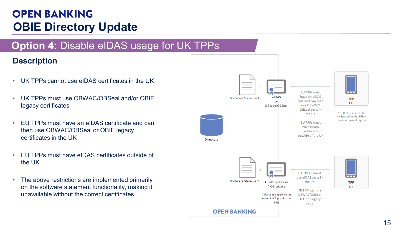### **Option 4:** Disable eIDAS usage for UK TPPs

### **Description**

- UK TPPs cannot use eIDAS certificates in the UK
- UK TPPs must use OBWAC/OBSeal and/or OBIE legacy certificates
- EU TPPs must have an eIDAS certificate and can then use OBWAC/OBSeal or OBIE legacy certificates in the UK
- EU TPPs must have eIDAS certificates outside of the UK
- The above restrictions are implemented primarily on the software statement functionality, making it unavailable without the correct certificates

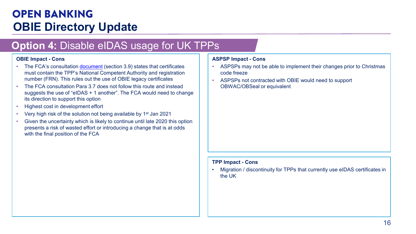### **Option 4:** Disable eIDAS usage for UK TPPs

- The FCA's consultation [document](https://www.fca.org.uk/publication/consultation/cp2018-quarterly-consultation-paper-no-29.pdf) (section 3.9) states that certificates must contain the TPP's National Competent Authority and registration number (FRN). This rules out the use of OBIE legacy certificates
- **OBIE Impact Cons<br>
 The FCA's consultation <u>document</u></u> (section 3.9) states that certificates<br>
 ASPSFs may not be able to implement their changes prior to Christmas<br>
must consultant PIP's Nation Dompeten Authority and** • The FCA consultation Para 3.7 does not follow this route and instead suggests the use of "eIDAS + 1 another". The FCA would need to change its direction to support this option
- Highest cost in development effort
- Very high risk of the solution not being available by 1st Jan 2021
- Given the uncertainty which is likely to continue until late 2020 this option presents a risk of wasted effort or introducing a change that is at odds with the final position of the FCA

#### **ASPSP Impact - Cons**

- ASPSPs may not be able to implement their changes prior to Christmas code freeze
- ASPSPs not contracted with OBIE would need to support OBWAC/OBSeal or equivalent

#### **TPP Impact - Cons**

• Migration / discontinuity for TPPs that currently use eIDAS certificates in the UK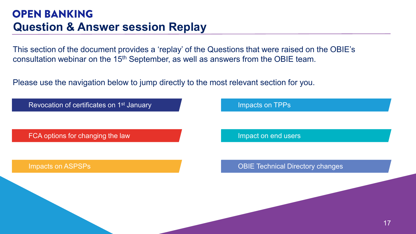<span id="page-16-0"></span>This section of the document provides a 'replay' of the Questions that were raised on the OBIE's consultation webinar on the 15th September, as well as answers from the OBIE team.

Please use the navigation below to jump directly to the most relevant section for you.

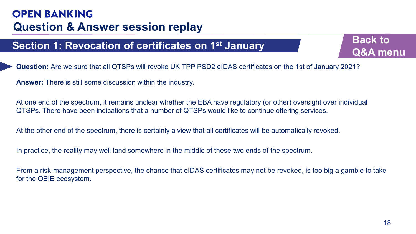**Back to [Q&A menu](#page-16-0)**

**Question:** Are we sure that all QTSPs will revoke UK TPP PSD2 eIDAS certificates on the 1st of January 2021?

**Answer:** There is still some discussion within the industry.

At one end of the spectrum, it remains unclear whether the EBA have regulatory (or other) oversight over individual QTSPs. There have been indications that a number of QTSPs would like to continue offering services.

At the other end of the spectrum, there is certainly a view that all certificates will be automatically revoked.

In practice, the reality may well land somewhere in the middle of these two ends of the spectrum.

<span id="page-17-0"></span>**Section 1: Revocation of certificates on 1<sup>st</sup> January<br>
Q&A me<br>
Q&A me<br>
Q&A me<br>
Answer: There is still some discussion within the industry.<br>
At one end of the spectrum, it remains undear whether the EBA have regulatory (o** From a risk-management perspective, the chance that eIDAS certificates may not be revoked, is too big a gamble to take for the OBIE ecosystem.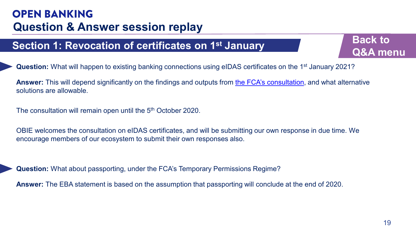**Back to [Q&A menu](#page-16-0)**

**Question:** What will happen to existing banking connections using eIDAS certificates on the 1<sup>st</sup> January 2021?

**Example 1: Revocation of certificates on 1st January**<br> **CASA mexet in the 1st January COSA**<br> **CASA mexet in the starting banking connections using eIDAS certificates on the 1st January 2021?**<br> **ABA mexet:** This will depen **Answer:** This will depend significantly on the findings and outputs from [the FCA's consultation](https://www.fca.org.uk/publication/consultation/cp2018-quarterly-consultation-paper-no-29.pdf), and what alternative solutions are allowable.

The consultation will remain open until the 5<sup>th</sup> October 2020.

OBIE welcomes the consultation on eIDAS certificates, and will be submitting our own response in due time. We encourage members of our ecosystem to submit their own responses also.

**Question:** What about passporting, under the FCA's Temporary Permissions Regime?

**Answer:** The EBA statement is based on the assumption that passporting will conclude at the end of 2020.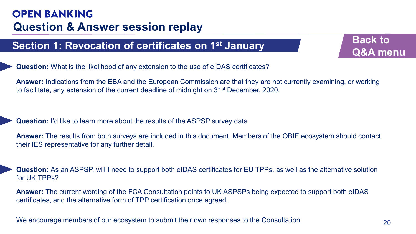**Back to [Q&A menu](#page-16-0)**

**Question:** What is the likelihood of any extension to the use of eIDAS certificates?

**Answer:** Indications from the EBA and the European Commission are that they are not currently examining, or working to facilitate, any extension of the current deadline of midnight on 31<sup>st</sup> December, 2020.

**Question:** I'd like to learn more about the results of the ASPSP survey data

**Example 1: Revocation of certificates on 1st January**<br> **Q&A me**<br> **Q&A me**<br> **Q&A mexer:** Indications from the EBA and the European Commission are that they are not currently examining, or working<br>
to facilitate, any extens **Answer:** The results from both surveys are included in this document. Members of the OBIE ecosystem should contact their IES representative for any further detail.

**Question:** As an ASPSP, will I need to support both eIDAS certificates for EU TPPs, as well as the alternative solution for UK TPPs?

**Answer:** The current wording of the FCA Consultation points to UK ASPSPs being expected to support both eIDAS certificates, and the alternative form of TPP certification once agreed.

We encourage members of our ecosystem to submit their own responses to the Consultation.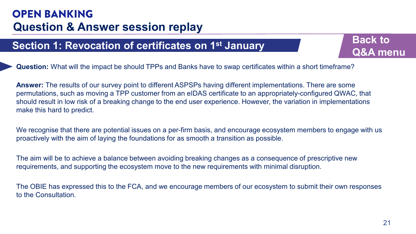**Back to [Q&A menu](#page-16-0)**

**Question:** What will the impact be should TPPs and Banks have to swap certificates within a short timeframe?

**Example 1: Revocation of certificates on 1st January**<br> **CARA me**<br> **Q&A me**<br> **Q&A me**<br> **Answer:** The results of our survey point to different ASPSPs having different implementations. There are some<br>
permutations, such as m **Answer:** The results of our survey point to different ASPSPs having different implementations. There are some permutations, such as moving a TPP customer from an eIDAS certificate to an appropriately-configured QWAC, that should result in low risk of a breaking change to the end user experience. However, the variation in implementations make this hard to predict.

We recognise that there are potential issues on a per-firm basis, and encourage ecosystem members to engage with us proactively with the aim of laying the foundations for as smooth a transition as possible.

The aim will be to achieve a balance between avoiding breaking changes as a consequence of prescriptive new requirements, and supporting the ecosystem move to the new requirements with minimal disruption.

The OBIE has expressed this to the FCA, and we encourage members of our ecosystem to submit their own responses to the Consultation.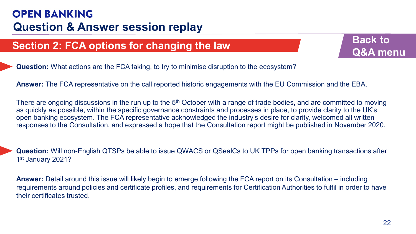

**Question:** What actions are the FCA taking, to try to minimise disruption to the ecosystem?

**Answer:** The FCA representative on the call reported historic engagements with the EU Commission and the EBA.

<span id="page-21-0"></span>**Example 122 FCA options for changing the law**<br> **Q&A me**<br> **Answer:** The FCA representative on the call reported historic engagements with the EU Commission and the EBA.<br>
There are organing discussions in the run up to the There are ongoing discussions in the run up to the 5<sup>th</sup> October with a range of trade bodies, and are committed to moving as quickly as possible, within the specific governance constraints and processes in place, to provide clarity to the UK's open banking ecosystem. The FCA representative acknowledged the industry's desire for clarity, welcomed all written responses to the Consultation, and expressed a hope that the Consultation report might be published in November 2020.

**Question:** Will non-English QTSPs be able to issue QWACS or QSealCs to UK TPPs for open banking transactions after 1st January 2021?

**Answer:** Detail around this issue will likely begin to emerge following the FCA report on its Consultation – including requirements around policies and certificate profiles, and requirements for Certification Authorities to fulfil in order to have their certificates trusted.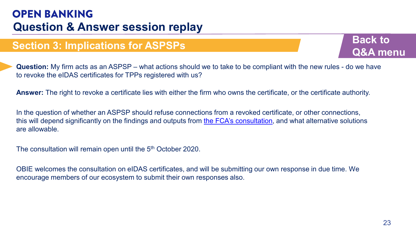**Back to [Q&A menu](#page-16-0)**

**Question:** My firm acts as an ASPSP – what actions should we to take to be compliant with the new rules - do we have to revoke the eIDAS certificates for TPPs registered with us?

**Answer:** The right to revoke a certificate lies with either the firm who owns the certificate, or the certificate authority.

<span id="page-22-0"></span>Section 3: Implications for ASPSPs<br>
Question: My firm acts as an ASPSP – what actions should we to take to be compliant with the new rules - do we have<br>
to revoke the eIDAS certificates for TPPs registered with us?<br>
Answer In the question of whether an ASPSP should refuse connections from a revoked certificate, or other connections, this will depend significantly on the findings and outputs from [the FCA's consultation,](https://www.fca.org.uk/publication/consultation/cp2018-quarterly-consultation-paper-no-29.pdf) and what alternative solutions are allowable.

The consultation will remain open until the 5<sup>th</sup> October 2020.

OBIE welcomes the consultation on eIDAS certificates, and will be submitting our own response in due time. We encourage members of our ecosystem to submit their own responses also.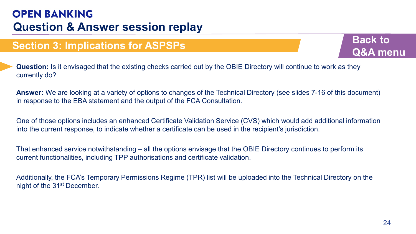**Question:** Is it envisaged that the existing checks carried out by the OBIE Directory will continue to work as they currently do?

**Answer:** We are looking at a variety of options to changes of the Technical Directory (see slides 7-16 of this document) in response to the EBA statement and the output of the FCA Consultation.

**Example 13: Implications for ASPSPs**<br> **Example 2414** Curvently do?<br> **CARA metromity do?**<br> **CARA metromity do?**<br> **Answer:** We are looking at a variety of options to changes of the Technical Directory (see slides 7-16 of th One of those options includes an enhanced Certificate Validation Service (CVS) which would add additional information into the current response, to indicate whether a certificate can be used in the recipient's jurisdiction.

That enhanced service notwithstanding – all the options envisage that the OBIE Directory continues to perform its current functionalities, including TPP authorisations and certificate validation.

Additionally, the FCA's Temporary Permissions Regime (TPR) list will be uploaded into the Technical Directory on the night of the 31st December.

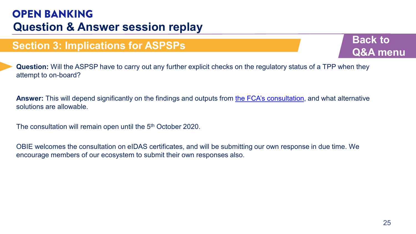**Back to [Q&A menu](#page-16-0)**

**Example 13: Implications for ASPSPs**<br> **Example 25 Algers and SPSP** have to carry out any further explicit checks on the regulatory status of a TPP when they<br>
attempt to on-board?<br> **Answer:** This will depend significantly **Question:** Will the ASPSP have to carry out any further explicit checks on the regulatory status of a TPP when they attempt to on-board?

**Answer:** This will depend significantly on the findings and outputs from [the FCA's consultation](https://www.fca.org.uk/publication/consultation/cp2018-quarterly-consultation-paper-no-29.pdf), and what alternative solutions are allowable.

The consultation will remain open until the 5<sup>th</sup> October 2020.

OBIE welcomes the consultation on eIDAS certificates, and will be submitting our own response in due time. We encourage members of our ecosystem to submit their own responses also.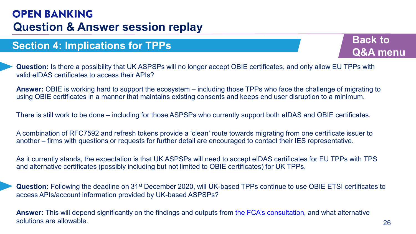**Back to [Q&A menu](#page-16-0)**

**Question:** Is there a possibility that UK ASPSPs will no longer accept OBIE certificates, and only allow EU TPPs with valid eIDAS certificates to access their APIs?

**Answer:** OBIE is working hard to support the ecosystem – including those TPPs who face the challenge of migrating to using OBIE certificates in a manner that maintains existing consents and keeps end user disruption to a minimum.

There is still work to be done – including for those ASPSPs who currently support both eIDAS and OBIE certificates.

A combination of RFC7592 and refresh tokens provide a 'clean' route towards migrating from one certificate issuer to another – firms with questions or requests for further detail are encouraged to contact their IES representative.

As it currently stands, the expectation is that UK ASPSPs will need to accept eIDAS certificates for EU TPPs with TPS and alternative certificates (possibly including but not limited to OBIE certificates) for UK TPPs.

<span id="page-25-0"></span>26**Section 4: Implications for TPPs Question:** Following the deadline on 31st December 2020, will UK-based TPPs continue to use OBIE ETSI certificates to access APIs/account information provided by UK-based ASPSPs?

**Answer:** This will depend significantly on the findings and outputs from [the FCA's consultation](https://www.fca.org.uk/publication/consultation/cp2018-quarterly-consultation-paper-no-29.pdf), and what alternative solutions are allowable.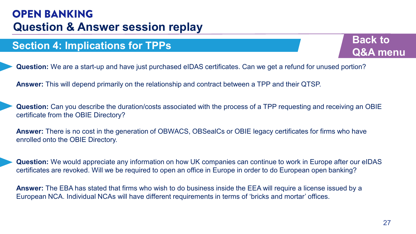

**Question:** We are a start-up and have just purchased eIDAS certificates. Can we get a refund for unused portion?

**Answer:** This will depend primarily on the relationship and contract between a TPP and their QTSP.

**Example 12 Example 21 COLOGY COLOGY COLOGY COLOGY COLOGY COLOGY COLOGY COLOGY COLOGY COLOGY COLOGY COLOGY COLOGY COLOGY COLOGY COLOGY COLOGY COLOGY COLOGY COLOGY COLOGY COLOGY Question:** Can you describe the duration/costs associated with the process of a TPP requesting and receiving an OBIE certificate from the OBIE Directory?

**Answer:** There is no cost in the generation of OBWACS, OBSealCs or OBIE legacy certificates for firms who have enrolled onto the OBIE Directory.

**Question:** We would appreciate any information on how UK companies can continue to work in Europe after our eIDAS certificates are revoked. Will we be required to open an office in Europe in order to do European open banking?

**Answer:** The EBA has stated that firms who wish to do business inside the EEA will require a license issued by a European NCA. Individual NCAs will have different requirements in terms of 'bricks and mortar' offices.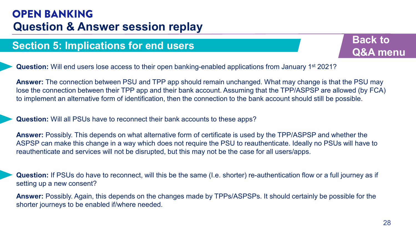

**Question:** Will end users lose access to their open banking-enabled applications from January 1st 2021?

<span id="page-27-0"></span>**Example 15: Implications for end users**<br> **Example 16:** The connection between PSU and TPP app should remain unchanged. What may change is that the PSU may<br>
lose the connection between PSU and TPP app should remain unchang **Answer:** The connection between PSU and TPP app should remain unchanged. What may change is that the PSU may lose the connection between their TPP app and their bank account. Assuming that the TPP/ASPSP are allowed (by FCA) to implement an alternative form of identification, then the connection to the bank account should still be possible.

#### **Question:** Will all PSUs have to reconnect their bank accounts to these apps?

**Answer:** Possibly. This depends on what alternative form of certificate is used by the TPP/ASPSP and whether the ASPSP can make this change in a way which does not require the PSU to reauthenticate. Ideally no PSUs will have to reauthenticate and services will not be disrupted, but this may not be the case for all users/apps.

**Question:** If PSUs do have to reconnect, will this be the same (I.e. shorter) re-authentication flow or a full journey as if setting up a new consent?

**Answer:** Possibly. Again, this depends on the changes made by TPPs/ASPSPs. It should certainly be possible for the shorter journeys to be enabled if/where needed.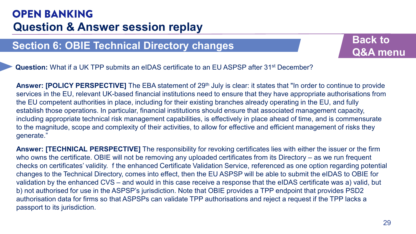**Back to [Q&A menu](#page-16-0)**

**Question:** What if a UK TPP submits an eIDAS certificate to an EU ASPSP after 31<sup>st</sup> December?

**Answer: [POLICY PERSPECTIVE]** The EBA statement of 29<sup>th</sup> July is clear: it states that "In order to continue to provide services in the EU, relevant UK-based financial institutions need to ensure that they have appropriate authorisations from the EU competent authorities in place, including for their existing branches already operating in the EU, and fully establish those operations. In particular, financial institutions should ensure that associated management capacity, including appropriate technical risk management capabilities, is effectively in place ahead of time, and is commensurate to the magnitude, scope and complexity of their activities, to allow for effective and efficient management of risks they generate."

<span id="page-28-0"></span>**Example 16: OBIE Technical Directory changes**<br> **Example 2020 CAN AMORE AND CONDUCY PERSPECTIVE]** The EBA statement of 29<sup>th</sup> July is clear: it states that "In order to continue to provide<br>
services in the EU, relevant UK-**Answer: [TECHNICAL PERSPECTIVE]** The responsibility for revoking certificates lies with either the issuer or the firm who owns the certificate. OBIE will not be removing any uploaded certificates from its Directory – as we run frequent checks on certificates' validity. f the enhanced Certificate Validation Service, referenced as one option regarding potential changes to the Technical Directory, comes into effect, then the EU ASPSP will be able to submit the eIDAS to OBIE for validation by the enhanced CVS – and would in this case receive a response that the eIDAS certificate was a) valid, but b) not authorised for use in the ASPSP's jurisdiction. Note that OBIE provides a TPP endpoint that provides PSD2 authorisation data for firms so that ASPSPs can validate TPP authorisations and reject a request if the TPP lacks a passport to its jurisdiction.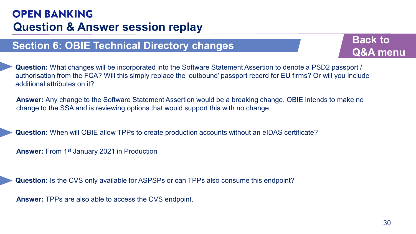

Section 6: OBIE Technical Directory changes<br>
Question: What changes will be incorporated into the Software Statement Assertion to denote a PSD2 passport /<br>
authorisation from the FCA? Will this simply replace the 'outbound **Question:** What changes will be incorporated into the Software Statement Assertion to denote a PSD2 passport / authorisation from the FCA? Will this simply replace the 'outbound' passport record for EU firms? Or will you include additional attributes on it?

**Answer:** Any change to the Software Statement Assertion would be a breaking change. OBIE intends to make no change to the SSA and is reviewing options that would support this with no change.

**Question:** When will OBIE allow TPPs to create production accounts without an eIDAS certificate?

**Answer:** From 1st January 2021 in Production

**Question:** Is the CVS only available for ASPSPs or can TPPs also consume this endpoint?

**Answer:** TPPs are also able to access the CVS endpoint.